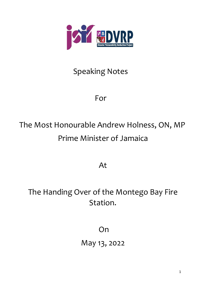

## Speaking Notes

## For

## The Most Honourable Andrew Holness, ON, MP Prime Minister of Jamaica

At

The Handing Over of the Montego Bay Fire Station.

**On** 

May 13, 2022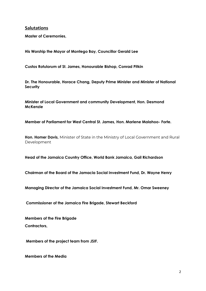**Salutations** 

Master of Ceremonies,

His Worship the Mayor of Montego Bay, Councillor Gerald Lee

Custos Rotulorum of St. James, Honourable Bishop, Conrad Pitkin

Dr. The Honourable, Horace Chang, Deputy Prime Minister and Minister of National **Security** 

Minister of Local Government and community Development, Hon. Desmond **McKenzie** 

Member of Parliament for West Central St. James, Hon. Marlene Malahoo- Forte.

Hon. Homer Davis, Minister of State in the Ministry of Local Government and Rural Development

Head of the Jamaica Country Office, World Bank Jamaica, Gail Richardson

Chairman of the Board of the Jamacia Social Investment Fund, Dr. Wayne Henry

Managing Director of the Jamaica Social Investment Fund, Mr. Omar Sweeney

Commissioner of the Jamaica Fire Brigade, Stewart Beckford

Members of the Fire Brigade Contractors.

Members of the project team from JSIF.

Members of the Media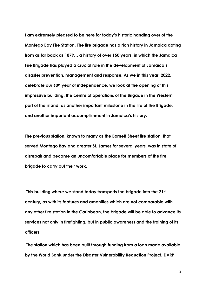I am extremely pleased to be here for today's historic handing over of the Montego Bay Fire Station. The fire brigade has a rich history in Jamaica dating from as far back as 1879… a history of over 150 years, in which the Jamaica Fire Brigade has played a crucial role in the development of Jamaica's disaster prevention, management and response. As we in this year, 2022, celebrate our 60<sup>th</sup> year of independence, we look at the opening of this impressive building, the centre of operations of the Brigade in the Western part of the island, as another important milestone in the life of the Brigade, and another important accomplishment in Jamaica's history.

The previous station, known to many as the Barnett Street fire station, that served Montego Bay and greater St. James for several years, was in state of disrepair and became an uncomfortable place for members of the fire brigade to carry out their work.

This building where we stand today transports the brigade into the 21st century, as with its features and amenities which are not comparable with any other fire station in the Caribbean, the brigade will be able to advance its services not only in firefighting, but in public awareness and the training of its officers.

The station which has been built through funding from a loan made available by the World Bank under the Disaster Vulnerability Reduction Project, DVRP

3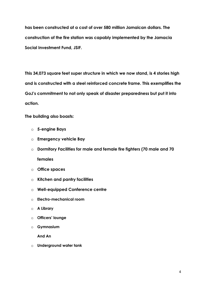has been constructed at a cost of over 580 million Jamaican dollars. The construction of the fire station was capably implemented by the Jamacia Social Investment Fund, JSIF.

This 34,073 square feet super structure in which we now stand, is 4 stories high and is constructed with a steel reinforced concrete frame. This exemplifies the GoJ's commitment to not only speak of disaster preparedness but put it into action.

The building also boasts:

- o 5-engine Bays
- o Emergency vehicle Bay
- o Dormitory Facilities for male and female fire fighters (70 male and 70 females
- o Office spaces
- $\circ$  Kitchen and pantry facilities
- o Well-equipped Conference centre
- o Electro-mechanical room
- o A Library
- o Officers' lounge
- o Gymnasium

And An

 $\circ$  Underground water tank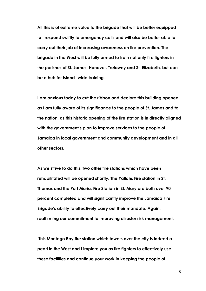All this is of extreme value to the brigade that will be better equipped to respond swiftly to emergency calls and will also be better able to carry out their job of increasing awareness on fire prevention. The brigade in the West will be fully armed to train not only fire fighters in the parishes of St. James, Hanover, Trelawny and St. Elizabeth, but can be a hub for island- wide training.

I am anxious today to cut the ribbon and declare this building opened as I am fully aware of its significance to the people of St. James and to the nation, as this historic opening of the fire station is in directly aligned with the government's plan to improve services to the people of Jamaica in local government and community development and in all other sectors.

As we strive to do this, two other fire stations which have been rehabilitated will be opened shortly. The Yallahs Fire station in St. Thomas and the Port Maria, Fire Station in St. Mary are both over 90 percent completed and will significantly improve the Jamaica Fire Brigade's ability to effectively carry out their mandate. Again, reaffirming our commitment to improving disaster risk management.

This Montego Bay fire station which towers over the city is indeed a pearl in the West and I implore you as fire fighters to effectively use these facilities and continue your work in keeping the people of

5